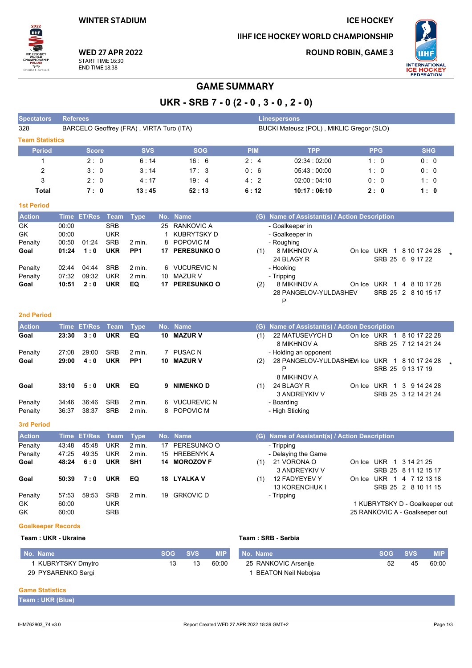## **ICE HOCKEY**

IIHF ICE HOCKEY WORLD CHAMPIONSHIP

**ROUND ROBIN, GAME 3** 



**WED 27 APR 2022** START TIME 16:30 **END TIME 18:38** 

## **GAME SUMMARY**

UKR - SRB 7 - 0 (2 - 0, 3 - 0, 2 - 0)

 $P$ 

| <b>Spectators</b>      | <b>Referees</b>                          |            |            | <b>Linespersons</b>                      |             |            |            |
|------------------------|------------------------------------------|------------|------------|------------------------------------------|-------------|------------|------------|
| 328                    | BARCELO Geoffrey (FRA), VIRTA Turo (ITA) |            |            | BUCKI Mateusz (POL), MIKLIC Gregor (SLO) |             |            |            |
| <b>Team Statistics</b> |                                          |            |            |                                          |             |            |            |
| <b>Period</b>          | <b>Score</b>                             | <b>SVS</b> | <b>SOG</b> | <b>PIM</b>                               | <b>TPP</b>  | <b>PPG</b> | <b>SHG</b> |
|                        | 2:0                                      | 6:14       | 16:6       | 2:4                                      | 02.34:02.00 | 1:0        | 0:0        |
| 2                      | 3:0                                      | 3:14       | 17:3       | 0:6                                      | 05.43:00:00 | 1:0        | 0:0        |
| 3                      | 2:0                                      | 4:17       | 19:4       | 4:2                                      | 02:00:04:10 | 0:0        | 1:0        |
| Total                  | 7:0                                      | 13:45      | 52:13      | 6:12                                     | 10:17:06:10 | 2:0        | 1:0        |

### **1st Period**

 $2022$ ſшн

| <b>Action</b> |       | Time ET/Res Team |            | Type              |     | No. Name           | (G) Name of Assistant(s) / Action Description                                       |
|---------------|-------|------------------|------------|-------------------|-----|--------------------|-------------------------------------------------------------------------------------|
| GK            | 00:00 |                  | <b>SRB</b> |                   |     | 25 RANKOVIC A      | - Goalkeeper in                                                                     |
| GK            | 00:00 |                  | <b>UKR</b> |                   |     | KUBRYTSKY D        | - Goalkeeper in                                                                     |
| Penalty       | 00:50 | 01:24            | <b>SRB</b> | 2 min.            |     | 8 POPOVIC M        | - Roughing                                                                          |
| Goal          | 01:24 | 1:0              | <b>UKR</b> | PP <sub>1</sub>   | 17. | <b>PERESUNKO O</b> | 8 MIKHNOV A<br>On Ice UKR<br>8 10 17 24 28<br>(1)<br>SRB 25 6 9 17 22<br>24 BLAGY R |
| Penalty       | 02:44 | 04:44            | <b>SRB</b> | $2 \text{ min}$ . |     | 6 VUCUREVIC N      | - Hooking                                                                           |
| Penalty       | 07:32 | 09:32            | UKR        | 2 min.            | 10  | MAZUR V            | - Tripping                                                                          |
| Goal          | 10:51 | 2:0              | <b>UKR</b> | EQ                | 17  | <b>PERESUNKO O</b> | 8 MIKHNOV A<br>(2)<br>On Ice UKR 1<br>4 8 10 17 28                                  |
|               |       |                  |            |                   |     |                    | 28 PANGELOV-YULDASHEV<br>SRB 25 2 8 10 15 17                                        |

### 2nd Period

| <b>Action</b>      | <b>Time</b>    | <b>ET/Res</b> Team |                          | Type               |    | No. Name                     |     | (G) Name of Assistant(s) / Action Description                     |        |     |                                            |  |
|--------------------|----------------|--------------------|--------------------------|--------------------|----|------------------------------|-----|-------------------------------------------------------------------|--------|-----|--------------------------------------------|--|
| Goal               | 23:30          | 3:0                | <b>UKR</b>               | EQ                 | 10 | <b>MAZUR V</b>               | (1) | 22 MATUSEVYCH D<br>8 MIKHNOV A                                    | On Ice | UKR | 1 8 10 17 22 28<br>SRB 25 7 12 14 21 24    |  |
| Penalty            | 27:08          | 29:00              | <b>SRB</b>               | $2$ min.           |    | <b>PUSAC N</b>               |     | - Holding an opponent                                             |        |     |                                            |  |
| Goal               | 29:00          | 4:0                | UKR                      | PP <sub>1</sub>    | 10 | <b>MAZUR V</b>               | (2) | 28 PANGELOV-YULDASHEM Ice UKR 1 8 10 17 24 28<br>P<br>8 MIKHNOV A |        |     | SRB 25 9 13 17 19                          |  |
| Goal               | 33:10          | 5:0                | UKR                      | EQ                 | 9  | <b>NIMENKO D</b>             | (1) | 24 BLAGY R<br>3 ANDREYKIV V                                       | On Ice |     | UKR 1 3 9 14 24 28<br>SRB 25 3 12 14 21 24 |  |
| Penalty<br>Penalty | 34:46<br>36:37 | 36.46<br>38:37     | <b>SRB</b><br><b>SRB</b> | $2$ min.<br>2 min. |    | 6 VUCUREVIC N<br>8 POPOVIC M |     | - Boarding<br>- High Sticking                                     |        |     |                                            |  |

#### 3rd Period

| <b>Action</b> |       | Time ET/Res Team Type |            |                 |    | No. Name         |     | (G) Name of Assistant(s) / Action Description |                           |                                |
|---------------|-------|-----------------------|------------|-----------------|----|------------------|-----|-----------------------------------------------|---------------------------|--------------------------------|
| Penalty       | 43:48 | 45.48                 | <b>UKR</b> | $2$ min.        | 17 | PERESUNKO O      |     | - Tripping                                    |                           |                                |
| Penalty       | 47:25 | 49.35                 | <b>UKR</b> | 2 min.          |    | 15 HREBENYK A    |     | - Delaying the Game                           |                           |                                |
| Goal          | 48:24 | 6:0                   | <b>UKR</b> | SH <sub>1</sub> |    | 14 MOROZOV F     | (1) | 21 VORONA O<br>3 ANDREYKIV V                  | On Ice UKR 1 3 14 21 25   | SRB 25 8 11 12 15 17           |
| Goal          | 50:39 | 7:0                   | <b>UKR</b> | EQ              |    | 18 LYALKA V      | (1) | 12 FADYEYEV Y<br><b>13 KORENCHUK I</b>        | On Ice UKR 1 4 7 12 13 18 | SRB 25 2 8 10 11 15            |
| Penalty       | 57:53 | 59:53                 | <b>SRB</b> | $2$ min.        | 19 | <b>GRKOVIC D</b> |     | - Tripping                                    |                           |                                |
| GK.           | 60:00 |                       | <b>UKR</b> |                 |    |                  |     |                                               |                           | 1 KUBRYTSKY D - Goalkeeper out |
| GK            | 60:00 |                       | <b>SRB</b> |                 |    |                  |     |                                               |                           | 25 RANKOVIC A - Goalkeeper out |

#### **Goalkeeper Records**

#### Team: UKR - Ukraine

| No. Name           | SOG SVS |    | <b>MIP</b> | No. Name               | SOG SVS |    | <b>MIP</b> |
|--------------------|---------|----|------------|------------------------|---------|----|------------|
| KUBRYTSKY Dmytro   |         | 13 | 60.00      | 25 RANKOVIC Arsenije   | 52      | 45 | 60:00      |
| 29 PYSARENKO Sergi |         |    |            | I  BEATON Neil Neboisa |         |    |            |

Team: SRB - Serbia

#### **Game Statistics**

| Team : UKR (Blue) |  |  |
|-------------------|--|--|
|                   |  |  |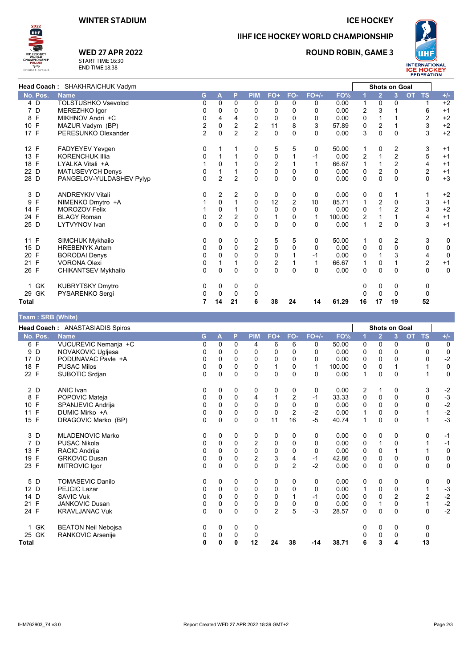### **ICE HOCKEY**

**ROUND ROBIN, GAME 3** 

IIHF ICE HOCKEY WORLD CHAMPIONSHIP



**THE** 

2022

# **WED 27 APR 2022** START TIME 16:30<br>END TIME 18:38

|                     | <b>Head Coach: SHAKHRAICHUK Vadym</b> |                |                  |                |                |                  |              |          |        | <b>Shots on Goal</b> |                  |                |                         |             |
|---------------------|---------------------------------------|----------------|------------------|----------------|----------------|------------------|--------------|----------|--------|----------------------|------------------|----------------|-------------------------|-------------|
| No. Pos.            | <b>Name</b>                           | G              | A                | P              | <b>PIM</b>     | FO+              | FO-          | $FO+/-$  | FO%    |                      | $\overline{2}$   | 3              | <b>OT</b><br><b>TS</b>  | $+/-$       |
| 4 D                 | <b>TOLSTUSHKO Vsevolod</b>            | 0              | $\Omega$         | $\Omega$       | 0              | 0                | $\Omega$     | 0        | 0.00   | 1                    | 0                | 0              | 1                       | $+2$        |
| D<br>7              | MEREZHKO Igor                         | 0              | 0                | 0              | 0              | 0                | $\Omega$     | 0        | 0.00   | 2                    |                  |                | 6                       | $+1$        |
| $\mathsf{F}$<br>8   | MIKHNOV Andri +C                      | 0              | 4                | 4              | 0              | $\mathbf 0$      | $\mathbf 0$  | 0        | 0.00   | 0                    |                  |                | 2                       | $+2$        |
| 10 F                | MAZUR Vadym (BP)                      | 2              | 0                | 2              | $\overline{2}$ | 11               | 8            | 3        | 57.89  | 0                    | 2                |                | 3                       | $+2$        |
| 17 F                | PERESUNKO Olexander                   | $\overline{2}$ | $\Omega$         | $\overline{2}$ | $\overline{2}$ | 0                | 0            | $\Omega$ | 0.00   | 3                    | 0                | 0              | 3                       | $+2$        |
| 12 F                | FADYEYEV Yevgen                       | 0              |                  |                | 0              | 5                | 5            | 0        | 50.00  | 1                    | 0                | 2              | 3                       | $+1$        |
| 13 F                | <b>KORENCHUK Illia</b>                | 0              |                  |                | 0              | $\pmb{0}$        |              | -1       | 0.00   | 2                    |                  | 2              | 5                       | $+1$        |
| 18 F                | LYALKA Vitali +A                      |                | $\Omega$         |                | $\Omega$       | $\overline{c}$   |              | 1        | 66.67  | 1                    |                  | $\overline{2}$ | 4                       | $+1$        |
| 22 D                | MATUSEVYCH Denys                      | 0              |                  |                | 0              | $\pmb{0}$        | 0            | 0        | 0.00   | $\pmb{0}$            | $\boldsymbol{2}$ | 0              | 2                       | $+1$        |
| 28 D                | PANGELOV-YULDASHEV Pylyp              | 0              | $\overline{2}$   | $\overline{2}$ | $\mathbf{0}$   | $\Omega$         | $\Omega$     | $\Omega$ | 0.00   | 0                    | $\overline{0}$   | $\Omega$       | $\Omega$                | $+3$        |
| 3 D                 | <b>ANDREYKIV Vitali</b>               | 0              | 2                | 2              | 0              | 0                | 0            | 0        | 0.00   | 0                    | 0                |                |                         | $+2$        |
| F<br>9              | NIMENKO Dmytro +A                     |                | $\mathbf 0$      |                | $\mathbf 0$    | 12               | 2            | 10       | 85.71  | 1                    | 2                | 0              | 3                       | $+1$        |
| 14 F                | <b>MOROZOV Felix</b>                  |                | $\Omega$         |                | $\mathbf 0$    | $\mathbf 0$      | $\mathbf{0}$ | $\Omega$ | 0.00   | 0                    |                  | $\overline{2}$ | 3                       | $+2$        |
| 24 F                | <b>BLAGY Roman</b>                    | 0              | $\boldsymbol{2}$ | 2              | 0              | $\mathbf{1}$     | 0            | 1        | 100.00 | 2                    |                  |                | 4                       | $+1$        |
| 25 D                | <b>LYTVYNOV</b> Ivan                  | 0              | $\Omega$         | $\Omega$       | $\Omega$       | $\Omega$         | $\Omega$     | $\Omega$ | 0.00   | $\overline{1}$       | $\overline{2}$   | $\Omega$       | 3                       | $+1$        |
| 11 F                | SIMCHUK Mykhailo                      | 0              | 0                | 0              | 0              | 5                | 5            | 0        | 50.00  | 1                    | 0                | 2              | 3                       | 0           |
| 15 D                | <b>HREBENYK Artem</b>                 | 0              | $\Omega$         | $\Omega$       | $\overline{c}$ | 0                | $\mathbf 0$  | 0        | 0.00   | 0                    | $\mathbf 0$      | 0              | 0                       | $\mathbf 0$ |
| 20 F                | <b>BORODAI Denys</b>                  | 0              | 0                | 0              | $\Omega$       | $\mathbf 0$      |              | -1       | 0.00   | 0                    |                  | 3              | 4                       | 0           |
| F<br>21             | <b>VORONA Olexi</b>                   | 0              |                  |                | $\mathbf 0$    | $\boldsymbol{2}$ |              |          | 66.67  | 1                    | 0                |                | $\overline{\mathbf{c}}$ | $+1$        |
| 26 F                | <b>CHIKANTSEV Mykhailo</b>            | 0              | $\mathbf 0$      | $\mathbf 0$    | $\Omega$       | $\mathbf 0$      | $\Omega$     | 0        | 0.00   | $\mathbf 0$          | 0                | 0              | 0                       | $\mathbf 0$ |
| 1 GK                | <b>KUBRYTSKY Dmytro</b>               | 0              | 0                | 0              | 0              |                  |              |          |        | 0                    | 0                | 0              | 0                       |             |
| 29 GK               | PYSARENKO Sergi                       | 0              | $\Omega$         | $\Omega$       | 0              |                  |              |          |        | $\Omega$             | $\Omega$         | $\mathbf{0}$   | 0                       |             |
| <b>Total</b>        |                                       | 7              | 14               | 21             | 6              | 38               | 24           | 14       | 61.29  | 16                   | 17               | 19             | 52                      |             |
| Toom - ODD (Milita) |                                       |                |                  |                |                |                  |              |          |        |                      |                  |                |                         |             |

| <b>Team: SKD (Write)</b> |                                 |          |              |             |                |                           |                |              |        |          |                      |                         |                         |              |
|--------------------------|---------------------------------|----------|--------------|-------------|----------------|---------------------------|----------------|--------------|--------|----------|----------------------|-------------------------|-------------------------|--------------|
|                          | Head Coach: ANASTASIADIS Spiros |          |              |             |                |                           |                |              |        |          | <b>Shots on Goal</b> |                         |                         |              |
| No. Pos.                 | <b>Name</b>                     | G        | $\mathbf{A}$ | P           | <b>PIM</b>     | FO+                       | FO-            | $FO+/-$      | FO%    | 1        | $\overline{2}$       | $\overline{\mathbf{3}}$ | <b>OT</b><br><b>TS</b>  | $+/-$        |
| 6F                       | VUCUREVIC Nemanja +C            | 0        | $\Omega$     | 0           | 4              | 6                         | 6              | 0            | 50.00  | 0        | $\Omega$             | $\Omega$                | 0                       | $\mathbf 0$  |
| D<br>9                   | NOVAKOVIC Ugljesa               | 0        | 0            | 0           | 0              | 0                         | 0              | 0            | 0.00   | 0        | 0                    | 0                       | 0                       | $\mathbf 0$  |
| 17<br>D                  | PODUNAVAC Pavle +A              | 0        | 0            | 0           | 0              | 0                         | $\Omega$       | 0            | 0.00   | 0        | 0                    | $\Omega$                | 0                       | $-2$         |
| F<br>18                  | <b>PUSAC Milos</b>              | 0        | $\Omega$     | $\Omega$    | $\Omega$       | 1                         | $\mathbf{0}$   | $\mathbf{1}$ | 100.00 | 0        | $\Omega$             |                         | 1                       | $\pmb{0}$    |
| 22 F                     | SUBOTIC Srdjan                  | 0        | $\Omega$     | $\Omega$    | $\mathbf{0}$   | 0                         | $\Omega$       | $\Omega$     | 0.00   | 1        | 0                    | $\Omega$                | 1                       | $\mathbf 0$  |
| 2 D                      | ANIC Ivan                       | 0        | 0            | 0           | 0              | 0                         | 0              | 0            | 0.00   | 2        | 1                    | 0                       | 3                       | $-2$         |
| F<br>8                   | POPOVIC Mateja                  | 0        | $\mathbf 0$  | $\mathbf 0$ | 4              |                           | 2              | $-1$         | 33.33  | 0        | 0                    | $\mathbf 0$             | 0                       | $-3$         |
| E<br>10 <sup>°</sup>     | SPANJEVIC Andrija               | 0        | $\Omega$     | 0           | $\mathbf 0$    | $\mathbf 0$               | 0              | 0            | 0.00   | 0        | $\Omega$             | 0                       | 0                       | $-2$         |
| F<br>11                  | DUMIC Mirko +A                  | 0        | 0            | 0           | 0              | $\mathbf 0$               | 2              | $-2$         | 0.00   |          | 0                    | 0                       |                         | $-2$<br>$-3$ |
| 15 F                     | DRAGOVIC Marko (BP)             | $\Omega$ | $\mathbf 0$  | $\Omega$    | $\mathbf 0$    | 11                        | 16             | $-5$         | 40.74  | 1        | 0                    | $\Omega$                | 1                       |              |
| 3 D                      | <b>MLADENOVIC Marko</b>         | 0        | 0            | 0           | 0              | 0                         | 0              | 0            | 0.00   | 0        | 0                    | 0                       | 0                       | $-1$         |
| 7<br>D                   | <b>PUSAC Nikola</b>             | 0        | 0            | $\mathbf 0$ | $\overline{2}$ | 0                         | 0              | 0            | 0.00   | 0        | 1                    | $\Omega$                | 1                       | $-1$         |
| F<br>13                  | RACIC Andrija                   | $\Omega$ | $\Omega$     | $\Omega$    | 0              | 0                         | $\Omega$       | $\Omega$     | 0.00   | 0        | $\Omega$             |                         | 1                       | $\mathbf 0$  |
| F<br>19                  | <b>GRKOVIC Dusan</b>            | 0        | 0            | 0           | $\overline{2}$ | $\ensuremath{\mathsf{3}}$ | 4              | $-1$         | 42.86  | 0        | 0                    | 0                       | 0                       | $\mathbf 0$  |
| 23 F                     | MITROVIC Igor                   | $\Omega$ | $\Omega$     | $\Omega$    | $\Omega$       | $\Omega$                  | $\overline{2}$ | $-2$         | 0.00   | $\Omega$ | $\Omega$             | $\Omega$                | $\Omega$                | $\mathbf 0$  |
| 5 D                      | <b>TOMASEVIC Danilo</b>         | 0        | 0            | 0           | 0              | 0                         | 0              | 0            | 0.00   | 0        | 0                    | 0                       | 0                       | 0            |
| 12 D                     | PEJCIC Lazar                    | 0        | 0            | 0           | 0              | 0                         | $\Omega$       | 0            | 0.00   | 1        | 0                    | 0                       | $\mathbf{1}$            | $-3$         |
| 14 D                     | <b>SAVIC Vuk</b>                | 0        | $\Omega$     | $\Omega$    | $\mathbf 0$    | $\mathbf 0$               |                | $-1$         | 0.00   | 0        | 0                    | 2                       | $\overline{\mathbf{c}}$ | $-2$<br>$-2$ |
| F<br>21                  | <b>JANKOVIC Dusan</b>           | 0        | 0            | 0           | $\mathbf 0$    | $\pmb{0}$                 | 0              | 0            | 0.00   | 0        | 1                    | $\Omega$                | 1                       |              |
| 24 F                     | <b>KRAVLJANAC Vuk</b>           | 0        | $\Omega$     | $\Omega$    | $\Omega$       | $\overline{2}$            | 5              | $-3$         | 28.57  | $\Omega$ | $\mathbf{0}$         | $\Omega$                | 0                       | $-2$         |
| GK                       | <b>BEATON Neil Nebojsa</b>      | 0        | 0            | 0           | 0              |                           |                |              |        | 0        | 0                    | 0                       | 0                       |              |
| 25 GK                    | RANKOVIC Arsenije               | 0        | 0            | 0           | 0              |                           |                |              |        | 0        | 0                    | 0                       | 0                       |              |
| Total                    |                                 | 0        | 0            | 0           | 12             | 24                        | 38             | $-14$        | 38.71  | 6        | 3                    | 4                       | 13                      |              |